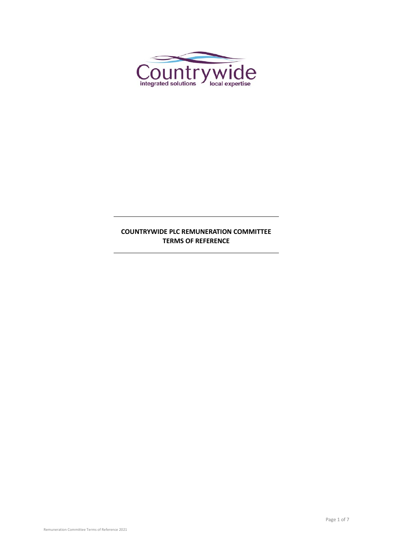

# **COUNTRYWIDE PLC REMUNERATION COMMITTEE TERMS OF REFERENCE**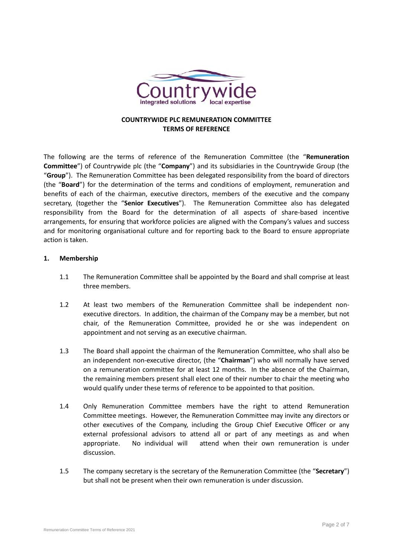

## **COUNTRYWIDE PLC REMUNERATION COMMITTEE TERMS OF REFERENCE**

The following are the terms of reference of the Remuneration Committee (the "**Remuneration Committee**") of Countrywide plc (the "**Company**") and its subsidiaries in the Countrywide Group (the "**Group**"). The Remuneration Committee has been delegated responsibility from the board of directors (the "**Board**") for the determination of the terms and conditions of employment, remuneration and benefits of each of the chairman, executive directors, members of the executive and the company secretary, (together the "**Senior Executives**"). The Remuneration Committee also has delegated responsibility from the Board for the determination of all aspects of share-based incentive arrangements, for ensuring that workforce policies are aligned with the Company's values and success and for monitoring organisational culture and for reporting back to the Board to ensure appropriate action is taken.

### **1. Membership**

- 1.1 The Remuneration Committee shall be appointed by the Board and shall comprise at least three members.
- 1.2 At least two members of the Remuneration Committee shall be independent nonexecutive directors. In addition, the chairman of the Company may be a member, but not chair, of the Remuneration Committee, provided he or she was independent on appointment and not serving as an executive chairman.
- 1.3 The Board shall appoint the chairman of the Remuneration Committee, who shall also be an independent non-executive director, (the "**Chairman**") who will normally have served on a remuneration committee for at least 12 months. In the absence of the Chairman, the remaining members present shall elect one of their number to chair the meeting who would qualify under these terms of reference to be appointed to that position.
- 1.4 Only Remuneration Committee members have the right to attend Remuneration Committee meetings. However, the Remuneration Committee may invite any directors or other executives of the Company, including the Group Chief Executive Officer or any external professional advisors to attend all or part of any meetings as and when appropriate. No individual will attend when their own remuneration is under discussion.
- 1.5 The company secretary is the secretary of the Remuneration Committee (the "**Secretary**") but shall not be present when their own remuneration is under discussion.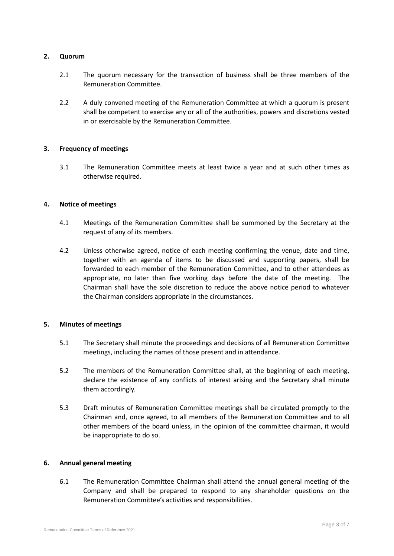### **2. Quorum**

- 2.1 The quorum necessary for the transaction of business shall be three members of the Remuneration Committee.
- 2.2 A duly convened meeting of the Remuneration Committee at which a quorum is present shall be competent to exercise any or all of the authorities, powers and discretions vested in or exercisable by the Remuneration Committee.

### **3. Frequency of meetings**

3.1 The Remuneration Committee meets at least twice a year and at such other times as otherwise required.

#### **4. Notice of meetings**

- 4.1 Meetings of the Remuneration Committee shall be summoned by the Secretary at the request of any of its members.
- 4.2 Unless otherwise agreed, notice of each meeting confirming the venue, date and time, together with an agenda of items to be discussed and supporting papers, shall be forwarded to each member of the Remuneration Committee, and to other attendees as appropriate, no later than five working days before the date of the meeting. The Chairman shall have the sole discretion to reduce the above notice period to whatever the Chairman considers appropriate in the circumstances.

### **5. Minutes of meetings**

- 5.1 The Secretary shall minute the proceedings and decisions of all Remuneration Committee meetings, including the names of those present and in attendance.
- 5.2 The members of the Remuneration Committee shall, at the beginning of each meeting, declare the existence of any conflicts of interest arising and the Secretary shall minute them accordingly.
- 5.3 Draft minutes of Remuneration Committee meetings shall be circulated promptly to the Chairman and, once agreed, to all members of the Remuneration Committee and to all other members of the board unless, in the opinion of the committee chairman, it would be inappropriate to do so.

### **6. Annual general meeting**

6.1 The Remuneration Committee Chairman shall attend the annual general meeting of the Company and shall be prepared to respond to any shareholder questions on the Remuneration Committee's activities and responsibilities.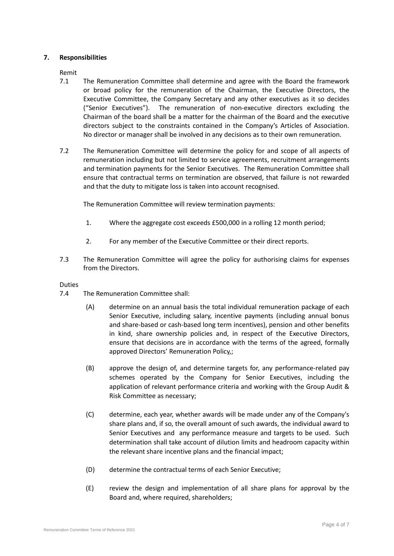## **7. Responsibilities**

Remit

- 7.1 The Remuneration Committee shall determine and agree with the Board the framework or broad policy for the remuneration of the Chairman, the Executive Directors, the Executive Committee, the Company Secretary and any other executives as it so decides ("Senior Executives"). The remuneration of non-executive directors excluding the Chairman of the board shall be a matter for the chairman of the Board and the executive directors subject to the constraints contained in the Company's Articles of Association. No director or manager shall be involved in any decisions as to their own remuneration.
- 7.2 The Remuneration Committee will determine the policy for and scope of all aspects of remuneration including but not limited to service agreements, recruitment arrangements and termination payments for the Senior Executives. The Remuneration Committee shall ensure that contractual terms on termination are observed, that failure is not rewarded and that the duty to mitigate loss is taken into account recognised.

The Remuneration Committee will review termination payments:

- 1. Where the aggregate cost exceeds £500,000 in a rolling 12 month period;
- 2. For any member of the Executive Committee or their direct reports.
- 7.3 The Remuneration Committee will agree the policy for authorising claims for expenses from the Directors.

#### Duties

- 7.4 The Remuneration Committee shall:
	- (A) determine on an annual basis the total individual remuneration package of each Senior Executive, including salary, incentive payments (including annual bonus and share-based or cash-based long term incentives), pension and other benefits in kind, share ownership policies and, in respect of the Executive Directors, ensure that decisions are in accordance with the terms of the agreed, formally approved Directors' Remuneration Policy,;
	- (B) approve the design of, and determine targets for, any performance-related pay schemes operated by the Company for Senior Executives, including the application of relevant performance criteria and working with the Group Audit & Risk Committee as necessary;
	- (C) determine, each year, whether awards will be made under any of the Company's share plans and, if so, the overall amount of such awards, the individual award to Senior Executives and any performance measure and targets to be used. Such determination shall take account of dilution limits and headroom capacity within the relevant share incentive plans and the financial impact;
	- (D) determine the contractual terms of each Senior Executive;
	- (E) review the design and implementation of all share plans for approval by the Board and, where required, shareholders;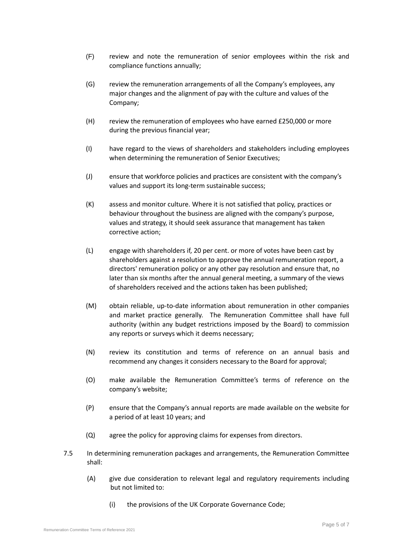- (F) review and note the remuneration of senior employees within the risk and compliance functions annually;
- (G) review the remuneration arrangements of all the Company's employees, any major changes and the alignment of pay with the culture and values of the Company;
- (H) review the remuneration of employees who have earned £250,000 or more during the previous financial year;
- (I) have regard to the views of shareholders and stakeholders including employees when determining the remuneration of Senior Executives;
- (J) ensure that workforce policies and practices are consistent with the company's values and support its long-term sustainable success;
- (K) assess and monitor culture. Where it is not satisfied that policy, practices or behaviour throughout the business are aligned with the company's purpose, values and strategy, it should seek assurance that management has taken corrective action;
- (L) engage with shareholders if, 20 per cent. or more of votes have been cast by shareholders against a resolution to approve the annual remuneration report, a directors' remuneration policy or any other pay resolution and ensure that, no later than six months after the annual general meeting, a summary of the views of shareholders received and the actions taken has been published;
- (M) obtain reliable, up-to-date information about remuneration in other companies and market practice generally. The Remuneration Committee shall have full authority (within any budget restrictions imposed by the Board) to commission any reports or surveys which it deems necessary;
- (N) review its constitution and terms of reference on an annual basis and recommend any changes it considers necessary to the Board for approval;
- (O) make available the Remuneration Committee's terms of reference on the company's website;
- (P) ensure that the Company's annual reports are made available on the website for a period of at least 10 years; and
- (Q) agree the policy for approving claims for expenses from directors.
- 7.5 In determining remuneration packages and arrangements, the Remuneration Committee shall:
	- (A) give due consideration to relevant legal and regulatory requirements including but not limited to:
		- (i) the provisions of the UK Corporate Governance Code;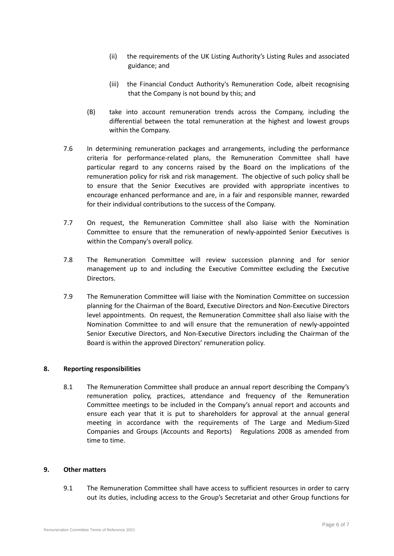- (ii) the requirements of the UK Listing Authority's Listing Rules and associated guidance; and
- (iii) the Financial Conduct Authority's Remuneration Code, albeit recognising that the Company is not bound by this; and
- (B) take into account remuneration trends across the Company, including the differential between the total remuneration at the highest and lowest groups within the Company.
- 7.6 In determining remuneration packages and arrangements, including the performance criteria for performance-related plans, the Remuneration Committee shall have particular regard to any concerns raised by the Board on the implications of the remuneration policy for risk and risk management. The objective of such policy shall be to ensure that the Senior Executives are provided with appropriate incentives to encourage enhanced performance and are, in a fair and responsible manner, rewarded for their individual contributions to the success of the Company.
- 7.7 On request, the Remuneration Committee shall also liaise with the Nomination Committee to ensure that the remuneration of newly-appointed Senior Executives is within the Company's overall policy.
- 7.8 The Remuneration Committee will review succession planning and for senior management up to and including the Executive Committee excluding the Executive Directors.
- 7.9 The Remuneration Committee will liaise with the Nomination Committee on succession planning for the Chairman of the Board, Executive Directors and Non-Executive Directors level appointments. On request, the Remuneration Committee shall also liaise with the Nomination Committee to and will ensure that the remuneration of newly-appointed Senior Executive Directors, and Non-Executive Directors including the Chairman of the Board is within the approved Directors' remuneration policy.

### **8. Reporting responsibilities**

8.1 The Remuneration Committee shall produce an annual report describing the Company's remuneration policy, practices, attendance and frequency of the Remuneration Committee meetings to be included in the Company's annual report and accounts and ensure each year that it is put to shareholders for approval at the annual general meeting in accordance with the requirements of The Large and Medium-Sized Companies and Groups (Accounts and Reports) Regulations 2008 as amended from time to time.

#### **9. Other matters**

9.1 The Remuneration Committee shall have access to sufficient resources in order to carry out its duties, including access to the Group's Secretariat and other Group functions for